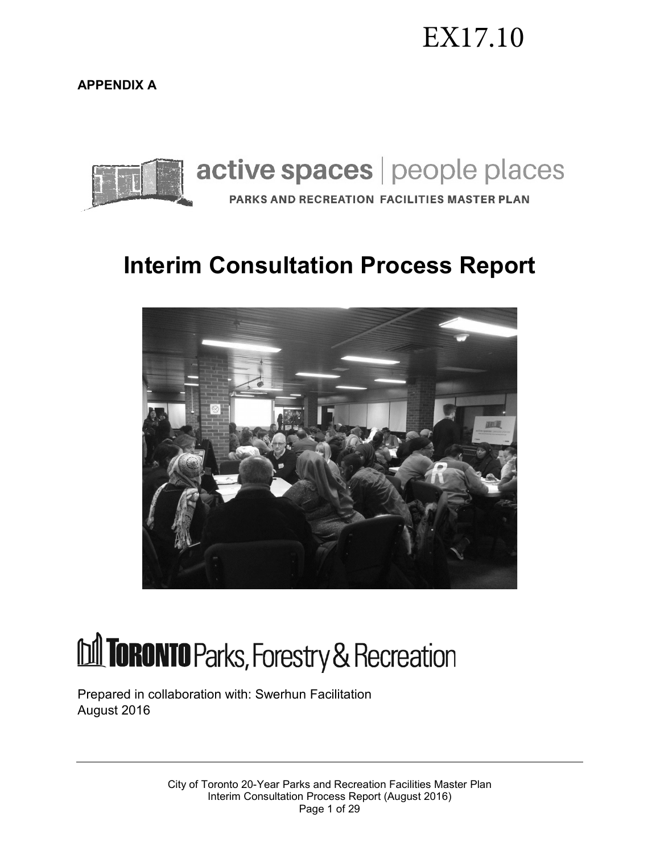# EX17.10

**APPENDIX A**



# **Interim Consultation Process Report**



# **M TORONTO** Parks, Forestry & Recreation

Prepared in collaboration with: Swerhun Facilitation August 2016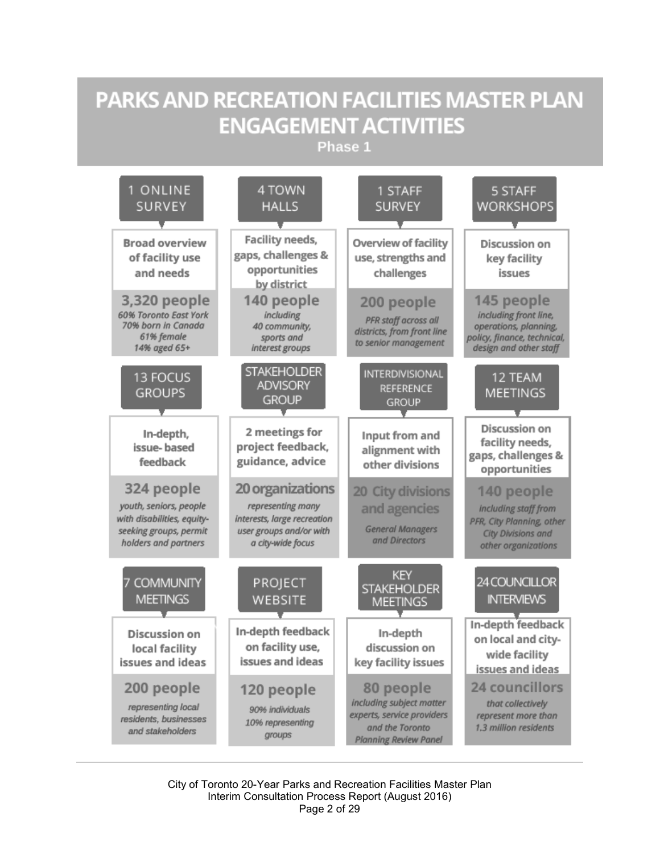# **PARKS AND RECREATION FACILITIES MASTER PLAN ENGAGEMENT ACTIVITIES**

Phase 1



City of Toronto 20-Year Parks and Recreation Facilities Master Plan Interim Consultation Process Report (August 2016) Page 2 of 29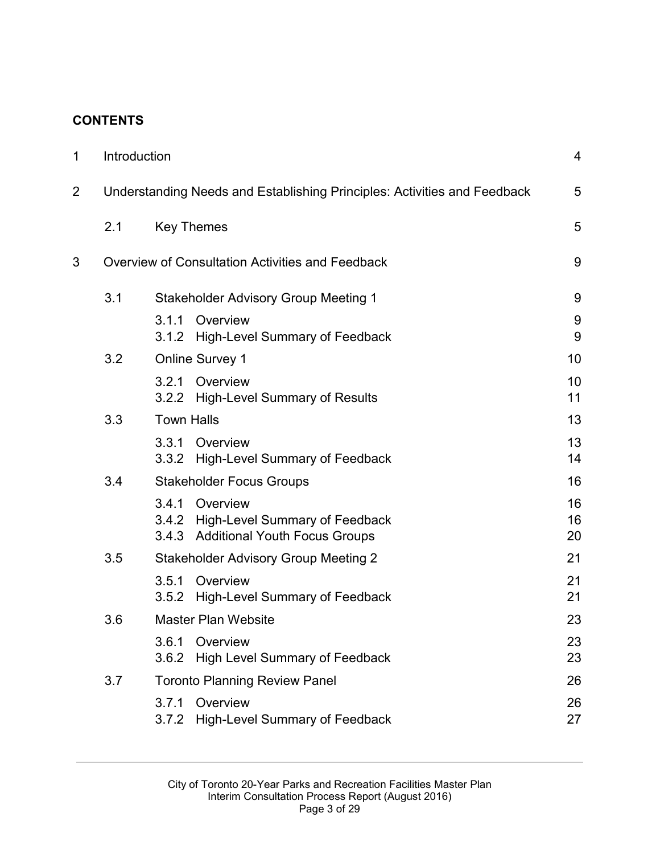#### **CONTENTS**

| 1 | Introduction                                                             |                                             |                                                                                          | 4              |
|---|--------------------------------------------------------------------------|---------------------------------------------|------------------------------------------------------------------------------------------|----------------|
| 2 | Understanding Needs and Establishing Principles: Activities and Feedback |                                             |                                                                                          | 5              |
|   | 2.1                                                                      | <b>Key Themes</b>                           |                                                                                          | 5              |
| 3 | Overview of Consultation Activities and Feedback                         |                                             |                                                                                          | 9              |
|   | 3.1                                                                      | Stakeholder Advisory Group Meeting 1        |                                                                                          |                |
|   |                                                                          | 3.1.1<br>3.1.2                              | Overview<br><b>High-Level Summary of Feedback</b>                                        | 9<br>9         |
|   | 3.2                                                                      | <b>Online Survey 1</b>                      |                                                                                          | 10             |
|   |                                                                          | 3.2.1                                       | Overview<br>3.2.2 High-Level Summary of Results                                          | 10<br>11       |
|   | 3.3                                                                      | <b>Town Halls</b>                           |                                                                                          | 13             |
|   |                                                                          | 3.3.1<br>3.3.2                              | Overview<br><b>High-Level Summary of Feedback</b>                                        | 13<br>14       |
|   | 3.4                                                                      | <b>Stakeholder Focus Groups</b>             |                                                                                          | 16             |
|   |                                                                          | 3.4.1<br>3.4.3                              | Overview<br>3.4.2 High-Level Summary of Feedback<br><b>Additional Youth Focus Groups</b> | 16<br>16<br>20 |
|   | 3.5                                                                      | <b>Stakeholder Advisory Group Meeting 2</b> |                                                                                          | 21             |
|   |                                                                          | 3.5.1<br>3.5.2                              | Overview<br><b>High-Level Summary of Feedback</b>                                        | 21<br>21       |
|   | 3.6                                                                      | <b>Master Plan Website</b>                  |                                                                                          |                |
|   |                                                                          | 3.6.1<br>3.6.2                              | Overview<br>High Level Summary of Feedback                                               | 23<br>23       |
|   | 3.7                                                                      | <b>Toronto Planning Review Panel</b>        |                                                                                          |                |
|   |                                                                          | 3.7.1<br>3.7.2                              | Overview<br><b>High-Level Summary of Feedback</b>                                        | 26<br>27       |
|   |                                                                          |                                             |                                                                                          |                |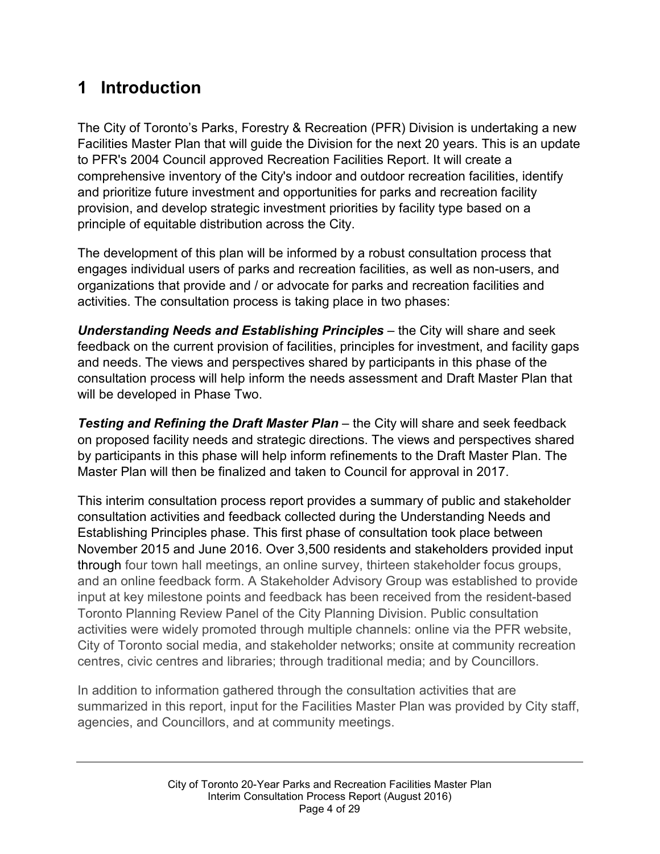# **1 Introduction**

The City of Toronto's Parks, Forestry & Recreation (PFR) Division is undertaking a new Facilities Master Plan that will guide the Division for the next 20 years. This is an update to PFR's 2004 Council approved Recreation Facilities Report. It will create a comprehensive inventory of the City's indoor and outdoor recreation facilities, identify and prioritize future investment and opportunities for parks and recreation facility provision, and develop strategic investment priorities by facility type based on a principle of equitable distribution across the City.

The development of this plan will be informed by a robust consultation process that engages individual users of parks and recreation facilities, as well as non-users, and organizations that provide and / or advocate for parks and recreation facilities and activities. The consultation process is taking place in two phases:

*Understanding Needs and Establishing Principles* – the City will share and seek feedback on the current provision of facilities, principles for investment, and facility gaps and needs. The views and perspectives shared by participants in this phase of the consultation process will help inform the needs assessment and Draft Master Plan that will be developed in Phase Two.

**Testing and Refining the Draft Master Plan** – the City will share and seek feedback on proposed facility needs and strategic directions. The views and perspectives shared by participants in this phase will help inform refinements to the Draft Master Plan. The Master Plan will then be finalized and taken to Council for approval in 2017.

This interim consultation process report provides a summary of public and stakeholder consultation activities and feedback collected during the Understanding Needs and Establishing Principles phase. This first phase of consultation took place between November 2015 and June 2016. Over 3,500 residents and stakeholders provided input through four town hall meetings, an online survey, thirteen stakeholder focus groups, and an online feedback form. A Stakeholder Advisory Group was established to provide input at key milestone points and feedback has been received from the resident-based Toronto Planning Review Panel of the City Planning Division. Public consultation activities were widely promoted through multiple channels: online via the PFR website, City of Toronto social media, and stakeholder networks; onsite at community recreation centres, civic centres and libraries; through traditional media; and by Councillors.

In addition to information gathered through the consultation activities that are summarized in this report, input for the Facilities Master Plan was provided by City staff, agencies, and Councillors, and at community meetings.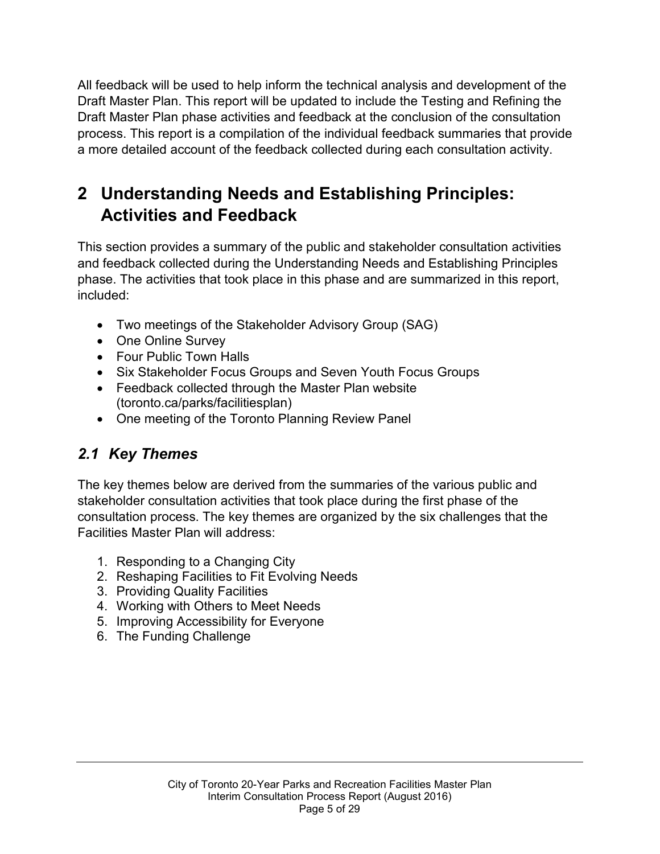All feedback will be used to help inform the technical analysis and development of the Draft Master Plan. This report will be updated to include the Testing and Refining the Draft Master Plan phase activities and feedback at the conclusion of the consultation process. This report is a compilation of the individual feedback summaries that provide a more detailed account of the feedback collected during each consultation activity.

# **2 Understanding Needs and Establishing Principles: Activities and Feedback**

This section provides a summary of the public and stakeholder consultation activities and feedback collected during the Understanding Needs and Establishing Principles phase. The activities that took place in this phase and are summarized in this report, included:

- Two meetings of the Stakeholder Advisory Group (SAG)
- One Online Survey
- Four Public Town Halls
- Six Stakeholder Focus Groups and Seven Youth Focus Groups
- Feedback collected through the Master Plan website [\(toronto.ca/parks/facilitiesplan\)](http://www.toronto.ca/parks/facilitiesplan)
- One meeting of the Toronto Planning Review Panel

# *2.1 Key Themes*

The key themes below are derived from the summaries of the various public and stakeholder consultation activities that took place during the first phase of the consultation process. The key themes are organized by the six challenges that the Facilities Master Plan will address:

- 1. Responding to a Changing City
- 2. Reshaping Facilities to Fit Evolving Needs
- 3. Providing Quality Facilities
- 4. Working with Others to Meet Needs
- 5. Improving Accessibility for Everyone
- 6. The Funding Challenge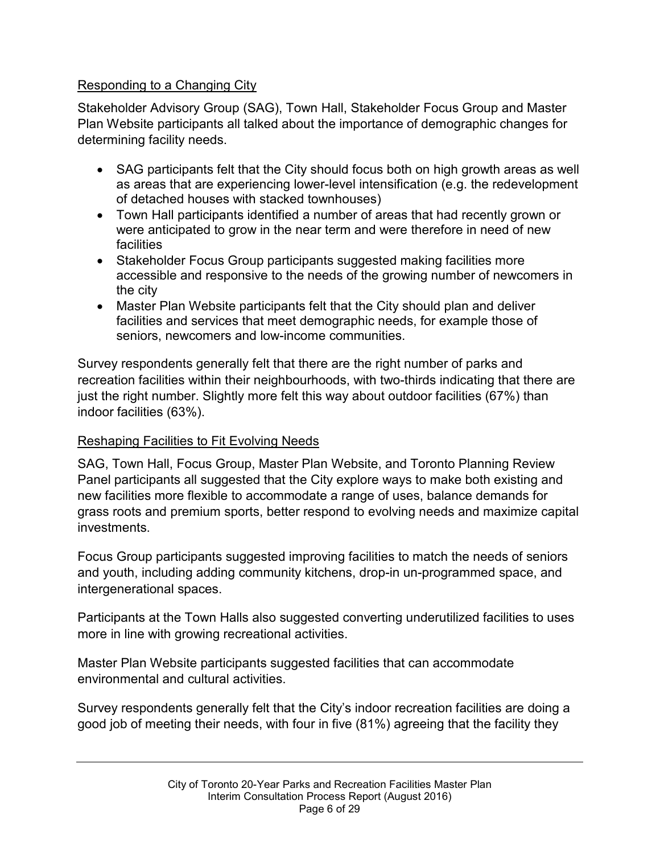#### Responding to a Changing City

Stakeholder Advisory Group (SAG), Town Hall, Stakeholder Focus Group and Master Plan Website participants all talked about the importance of demographic changes for determining facility needs.

- SAG participants felt that the City should focus both on high growth areas as well as areas that are experiencing lower-level intensification (e.g. the redevelopment of detached houses with stacked townhouses)
- Town Hall participants identified a number of areas that had recently grown or were anticipated to grow in the near term and were therefore in need of new **facilities**
- Stakeholder Focus Group participants suggested making facilities more accessible and responsive to the needs of the growing number of newcomers in the city
- Master Plan Website participants felt that the City should plan and deliver facilities and services that meet demographic needs, for example those of seniors, newcomers and low-income communities.

Survey respondents generally felt that there are the right number of parks and recreation facilities within their neighbourhoods, with two-thirds indicating that there are just the right number. Slightly more felt this way about outdoor facilities (67%) than indoor facilities (63%).

#### Reshaping Facilities to Fit Evolving Needs

SAG, Town Hall, Focus Group, Master Plan Website, and Toronto Planning Review Panel participants all suggested that the City explore ways to make both existing and new facilities more flexible to accommodate a range of uses, balance demands for grass roots and premium sports, better respond to evolving needs and maximize capital investments.

Focus Group participants suggested improving facilities to match the needs of seniors and youth, including adding community kitchens, drop-in un-programmed space, and intergenerational spaces.

Participants at the Town Halls also suggested converting underutilized facilities to uses more in line with growing recreational activities.

Master Plan Website participants suggested facilities that can accommodate environmental and cultural activities.

Survey respondents generally felt that the City's indoor recreation facilities are doing a good job of meeting their needs, with four in five (81%) agreeing that the facility they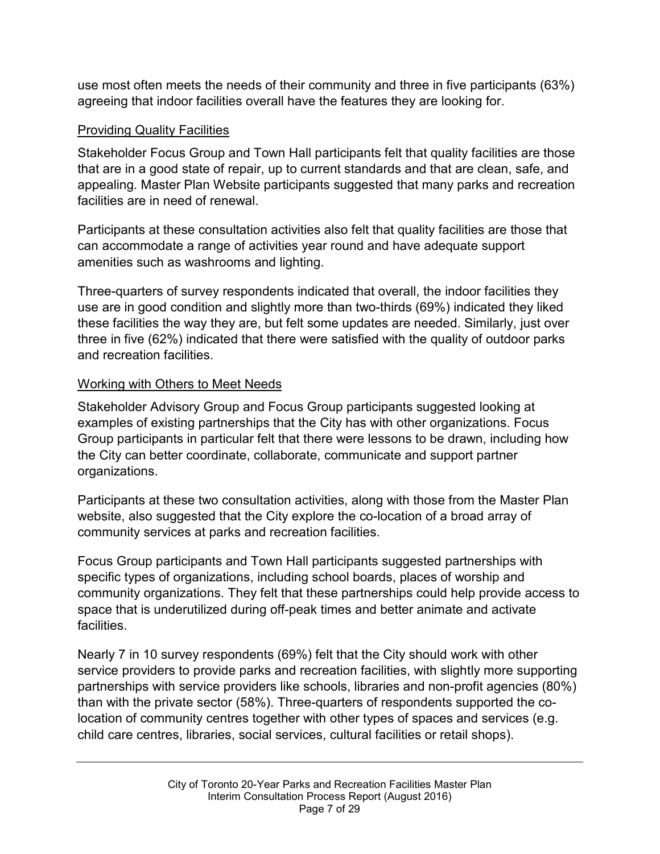use most often meets the needs of their community and three in five participants (63%) agreeing that indoor facilities overall have the features they are looking for.

#### Providing Quality Facilities

Stakeholder Focus Group and Town Hall participants felt that quality facilities are those that are in a good state of repair, up to current standards and that are clean, safe, and appealing. Master Plan Website participants suggested that many parks and recreation facilities are in need of renewal.

Participants at these consultation activities also felt that quality facilities are those that can accommodate a range of activities year round and have adequate support amenities such as washrooms and lighting.

Three-quarters of survey respondents indicated that overall, the indoor facilities they use are in good condition and slightly more than two-thirds (69%) indicated they liked these facilities the way they are, but felt some updates are needed. Similarly, just over three in five (62%) indicated that there were satisfied with the quality of outdoor parks and recreation facilities.

#### Working with Others to Meet Needs

Stakeholder Advisory Group and Focus Group participants suggested looking at examples of existing partnerships that the City has with other organizations. Focus Group participants in particular felt that there were lessons to be drawn, including how the City can better coordinate, collaborate, communicate and support partner organizations.

Participants at these two consultation activities, along with those from the Master Plan website, also suggested that the City explore the co-location of a broad array of community services at parks and recreation facilities.

Focus Group participants and Town Hall participants suggested partnerships with specific types of organizations, including school boards, places of worship and community organizations. They felt that these partnerships could help provide access to space that is underutilized during off-peak times and better animate and activate facilities.

Nearly 7 in 10 survey respondents (69%) felt that the City should work with other service providers to provide parks and recreation facilities, with slightly more supporting partnerships with service providers like schools, libraries and non-profit agencies (80%) than with the private sector (58%). Three-quarters of respondents supported the colocation of community centres together with other types of spaces and services (e.g. child care centres, libraries, social services, cultural facilities or retail shops).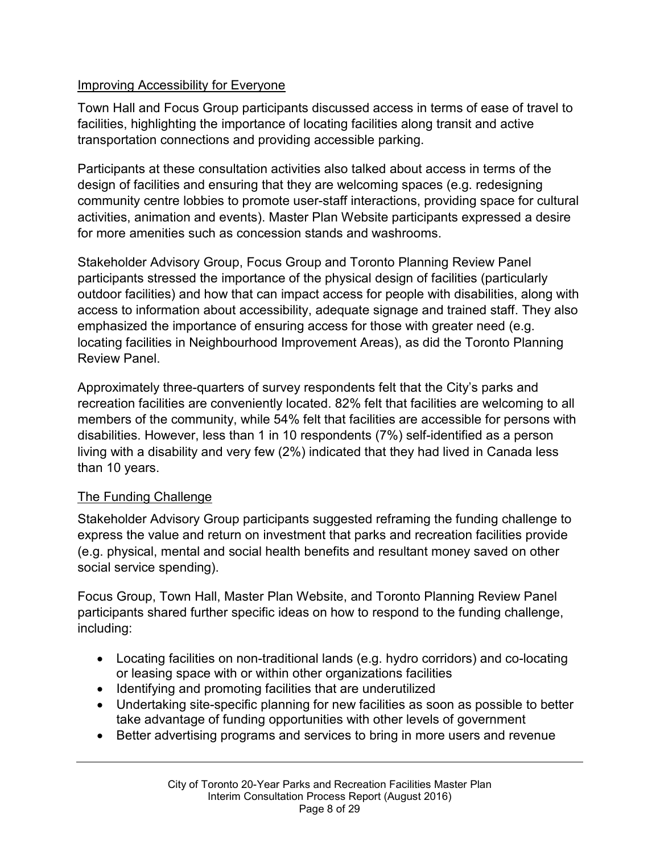#### Improving Accessibility for Everyone

Town Hall and Focus Group participants discussed access in terms of ease of travel to facilities, highlighting the importance of locating facilities along transit and active transportation connections and providing accessible parking.

Participants at these consultation activities also talked about access in terms of the design of facilities and ensuring that they are welcoming spaces (e.g. redesigning community centre lobbies to promote user-staff interactions, providing space for cultural activities, animation and events). Master Plan Website participants expressed a desire for more amenities such as concession stands and washrooms.

Stakeholder Advisory Group, Focus Group and Toronto Planning Review Panel participants stressed the importance of the physical design of facilities (particularly outdoor facilities) and how that can impact access for people with disabilities, along with access to information about accessibility, adequate signage and trained staff. They also emphasized the importance of ensuring access for those with greater need (e.g. locating facilities in Neighbourhood Improvement Areas), as did the Toronto Planning Review Panel.

Approximately three-quarters of survey respondents felt that the City's parks and recreation facilities are conveniently located. 82% felt that facilities are welcoming to all members of the community, while 54% felt that facilities are accessible for persons with disabilities. However, less than 1 in 10 respondents (7%) self-identified as a person living with a disability and very few (2%) indicated that they had lived in Canada less than 10 years.

#### The Funding Challenge

Stakeholder Advisory Group participants suggested reframing the funding challenge to express the value and return on investment that parks and recreation facilities provide (e.g. physical, mental and social health benefits and resultant money saved on other social service spending).

Focus Group, Town Hall, Master Plan Website, and Toronto Planning Review Panel participants shared further specific ideas on how to respond to the funding challenge, including:

- Locating facilities on non-traditional lands (e.g. hydro corridors) and co-locating or leasing space with or within other organizations facilities
- Identifying and promoting facilities that are underutilized
- Undertaking site-specific planning for new facilities as soon as possible to better take advantage of funding opportunities with other levels of government
- Better advertising programs and services to bring in more users and revenue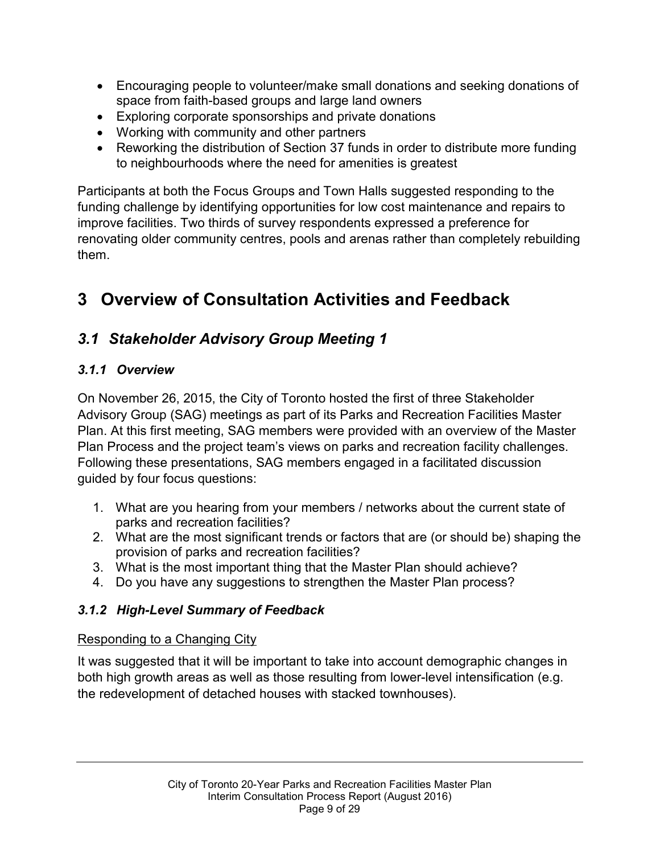- Encouraging people to volunteer/make small donations and seeking donations of space from faith-based groups and large land owners
- Exploring corporate sponsorships and private donations
- Working with community and other partners
- Reworking the distribution of Section 37 funds in order to distribute more funding to neighbourhoods where the need for amenities is greatest

Participants at both the Focus Groups and Town Halls suggested responding to the funding challenge by identifying opportunities for low cost maintenance and repairs to improve facilities. Two thirds of survey respondents expressed a preference for renovating older community centres, pools and arenas rather than completely rebuilding them.

# **3 Overview of Consultation Activities and Feedback**

## *3.1 Stakeholder Advisory Group Meeting 1*

#### *3.1.1 Overview*

On November 26, 2015, the City of Toronto hosted the first of three Stakeholder Advisory Group (SAG) meetings as part of its Parks and Recreation Facilities Master Plan. At this first meeting, SAG members were provided with an overview of the Master Plan Process and the project team's views on parks and recreation facility challenges. Following these presentations, SAG members engaged in a facilitated discussion guided by four focus questions:

- 1. What are you hearing from your members / networks about the current state of parks and recreation facilities?
- 2. What are the most significant trends or factors that are (or should be) shaping the provision of parks and recreation facilities?
- 3. What is the most important thing that the Master Plan should achieve?
- 4. Do you have any suggestions to strengthen the Master Plan process?

#### *3.1.2 High-Level Summary of Feedback*

#### Responding to a Changing City

It was suggested that it will be important to take into account demographic changes in both high growth areas as well as those resulting from lower-level intensification (e.g. the redevelopment of detached houses with stacked townhouses).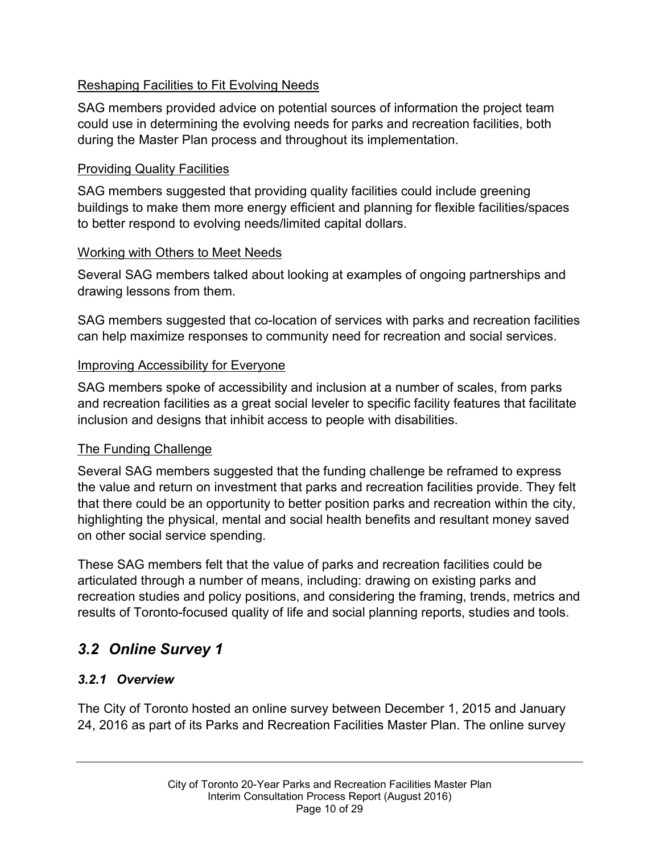#### Reshaping Facilities to Fit Evolving Needs

SAG members provided advice on potential sources of information the project team could use in determining the evolving needs for parks and recreation facilities, both during the Master Plan process and throughout its implementation.

#### Providing Quality Facilities

SAG members suggested that providing quality facilities could include greening buildings to make them more energy efficient and planning for flexible facilities/spaces to better respond to evolving needs/limited capital dollars.

#### Working with Others to Meet Needs

Several SAG members talked about looking at examples of ongoing partnerships and drawing lessons from them.

SAG members suggested that co-location of services with parks and recreation facilities can help maximize responses to community need for recreation and social services.

#### Improving Accessibility for Everyone

SAG members spoke of accessibility and inclusion at a number of scales, from parks and recreation facilities as a great social leveler to specific facility features that facilitate inclusion and designs that inhibit access to people with disabilities.

#### The Funding Challenge

Several SAG members suggested that the funding challenge be reframed to express the value and return on investment that parks and recreation facilities provide. They felt that there could be an opportunity to better position parks and recreation within the city, highlighting the physical, mental and social health benefits and resultant money saved on other social service spending.

These SAG members felt that the value of parks and recreation facilities could be articulated through a number of means, including: drawing on existing parks and recreation studies and policy positions, and considering the framing, trends, metrics and results of Toronto-focused quality of life and social planning reports, studies and tools.

# *3.2 Online Survey 1*

#### *3.2.1 Overview*

The City of Toronto hosted an online survey between December 1, 2015 and January 24, 2016 as part of its Parks and Recreation Facilities Master Plan. The online survey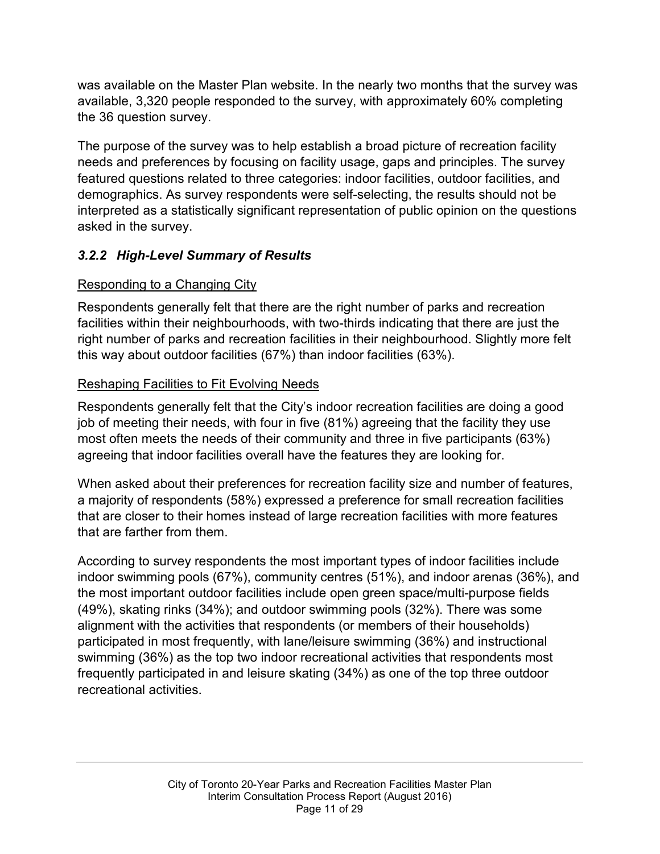was available on the Master Plan website. In the nearly two months that the survey was available, 3,320 people responded to the survey, with approximately 60% completing the 36 question survey.

The purpose of the survey was to help establish a broad picture of recreation facility needs and preferences by focusing on facility usage, gaps and principles. The survey featured questions related to three categories: indoor facilities, outdoor facilities, and demographics. As survey respondents were self-selecting, the results should not be interpreted as a statistically significant representation of public opinion on the questions asked in the survey.

#### *3.2.2 High-Level Summary of Results*

#### Responding to a Changing City

Respondents generally felt that there are the right number of parks and recreation facilities within their neighbourhoods, with two-thirds indicating that there are just the right number of parks and recreation facilities in their neighbourhood. Slightly more felt this way about outdoor facilities (67%) than indoor facilities (63%).

#### Reshaping Facilities to Fit Evolving Needs

Respondents generally felt that the City's indoor recreation facilities are doing a good job of meeting their needs, with four in five (81%) agreeing that the facility they use most often meets the needs of their community and three in five participants (63%) agreeing that indoor facilities overall have the features they are looking for.

When asked about their preferences for recreation facility size and number of features, a majority of respondents (58%) expressed a preference for small recreation facilities that are closer to their homes instead of large recreation facilities with more features that are farther from them.

According to survey respondents the most important types of indoor facilities include indoor swimming pools (67%), community centres (51%), and indoor arenas (36%), and the most important outdoor facilities include open green space/multi-purpose fields (49%), skating rinks (34%); and outdoor swimming pools (32%). There was some alignment with the activities that respondents (or members of their households) participated in most frequently, with lane/leisure swimming (36%) and instructional swimming (36%) as the top two indoor recreational activities that respondents most frequently participated in and leisure skating (34%) as one of the top three outdoor recreational activities.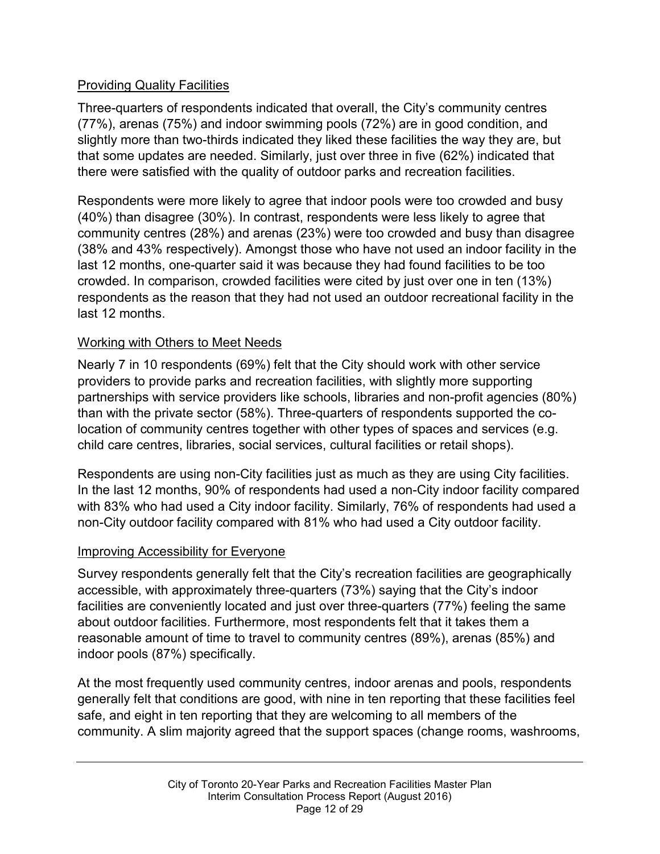#### Providing Quality Facilities

Three-quarters of respondents indicated that overall, the City's community centres (77%), arenas (75%) and indoor swimming pools (72%) are in good condition, and slightly more than two-thirds indicated they liked these facilities the way they are, but that some updates are needed. Similarly, just over three in five (62%) indicated that there were satisfied with the quality of outdoor parks and recreation facilities.

Respondents were more likely to agree that indoor pools were too crowded and busy (40%) than disagree (30%). In contrast, respondents were less likely to agree that community centres (28%) and arenas (23%) were too crowded and busy than disagree (38% and 43% respectively). Amongst those who have not used an indoor facility in the last 12 months, one-quarter said it was because they had found facilities to be too crowded. In comparison, crowded facilities were cited by just over one in ten (13%) respondents as the reason that they had not used an outdoor recreational facility in the last 12 months.

#### Working with Others to Meet Needs

Nearly 7 in 10 respondents (69%) felt that the City should work with other service providers to provide parks and recreation facilities, with slightly more supporting partnerships with service providers like schools, libraries and non-profit agencies (80%) than with the private sector (58%). Three-quarters of respondents supported the colocation of community centres together with other types of spaces and services (e.g. child care centres, libraries, social services, cultural facilities or retail shops).

Respondents are using non-City facilities just as much as they are using City facilities. In the last 12 months, 90% of respondents had used a non-City indoor facility compared with 83% who had used a City indoor facility. Similarly, 76% of respondents had used a non-City outdoor facility compared with 81% who had used a City outdoor facility.

#### Improving Accessibility for Everyone

Survey respondents generally felt that the City's recreation facilities are geographically accessible, with approximately three-quarters (73%) saying that the City's indoor facilities are conveniently located and just over three-quarters (77%) feeling the same about outdoor facilities. Furthermore, most respondents felt that it takes them a reasonable amount of time to travel to community centres (89%), arenas (85%) and indoor pools (87%) specifically.

At the most frequently used community centres, indoor arenas and pools, respondents generally felt that conditions are good, with nine in ten reporting that these facilities feel safe, and eight in ten reporting that they are welcoming to all members of the community. A slim majority agreed that the support spaces (change rooms, washrooms,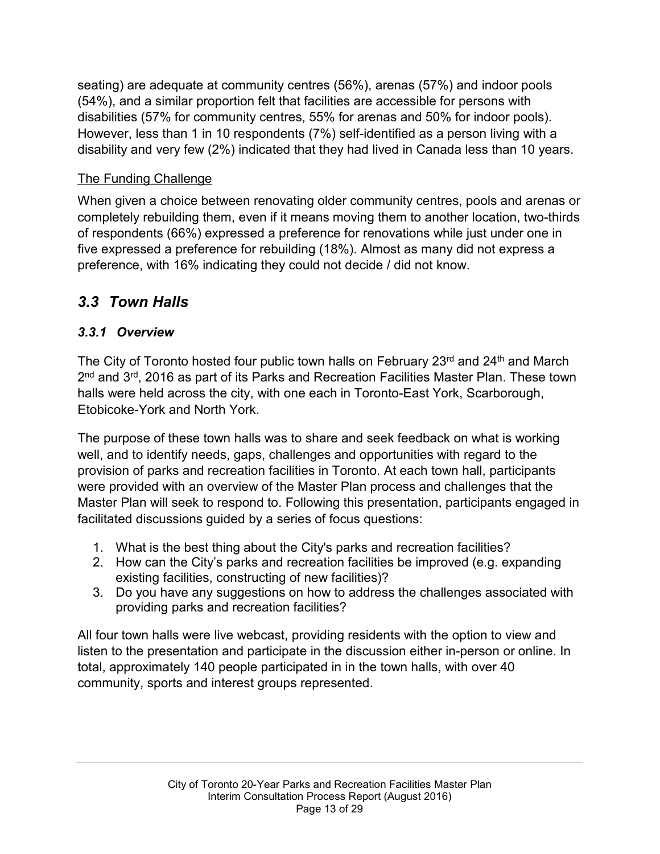seating) are adequate at community centres (56%), arenas (57%) and indoor pools (54%), and a similar proportion felt that facilities are accessible for persons with disabilities (57% for community centres, 55% for arenas and 50% for indoor pools). However, less than 1 in 10 respondents (7%) self-identified as a person living with a disability and very few (2%) indicated that they had lived in Canada less than 10 years.

#### The Funding Challenge

When given a choice between renovating older community centres, pools and arenas or completely rebuilding them, even if it means moving them to another location, two-thirds of respondents (66%) expressed a preference for renovations while just under one in five expressed a preference for rebuilding (18%). Almost as many did not express a preference, with 16% indicating they could not decide / did not know.

## *3.3 Town Halls*

#### *3.3.1 Overview*

The City of Toronto hosted four public town halls on February  $23<sup>rd</sup>$  and  $24<sup>th</sup>$  and March 2nd and 3rd, 2016 as part of its Parks and Recreation Facilities Master Plan. These town halls were held across the city, with one each in Toronto-East York, Scarborough, Etobicoke-York and North York.

The purpose of these town halls was to share and seek feedback on what is working well, and to identify needs, gaps, challenges and opportunities with regard to the provision of parks and recreation facilities in Toronto. At each town hall, participants were provided with an overview of the Master Plan process and challenges that the Master Plan will seek to respond to. Following this presentation, participants engaged in facilitated discussions guided by a series of focus questions:

- 1. What is the best thing about the City's parks and recreation facilities?
- 2. How can the City's parks and recreation facilities be improved (e.g. expanding existing facilities, constructing of new facilities)?
- 3. Do you have any suggestions on how to address the challenges associated with providing parks and recreation facilities?

All four town halls were live webcast, providing residents with the option to view and listen to the presentation and participate in the discussion either in-person or online. In total, approximately 140 people participated in in the town halls, with over 40 community, sports and interest groups represented.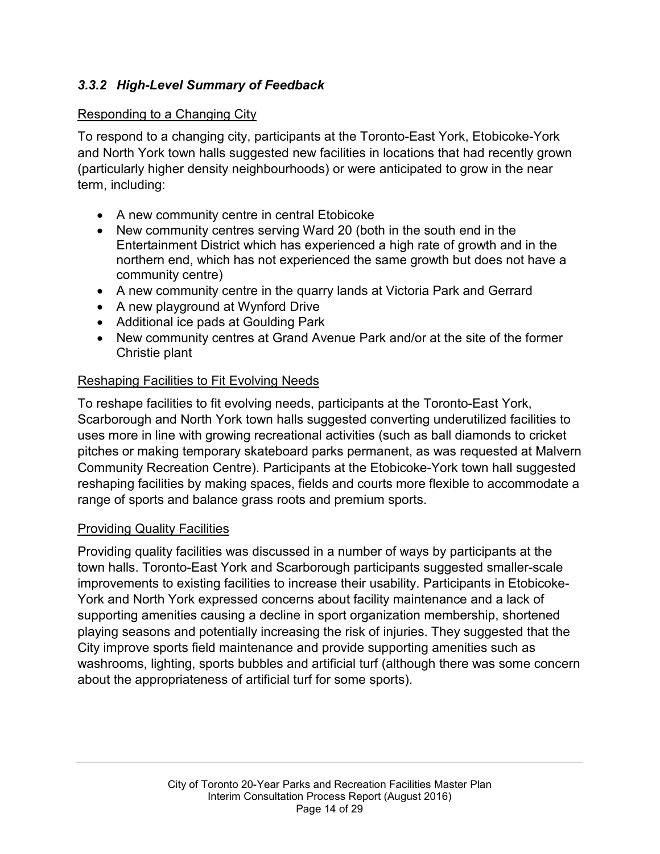#### *3.3.2 High-Level Summary of Feedback*

#### Responding to a Changing City

To respond to a changing city, participants at the Toronto-East York, Etobicoke-York and North York town halls suggested new facilities in locations that had recently grown (particularly higher density neighbourhoods) or were anticipated to grow in the near term, including:

- A new community centre in central Etobicoke
- New community centres serving Ward 20 (both in the south end in the Entertainment District which has experienced a high rate of growth and in the northern end, which has not experienced the same growth but does not have a community centre)
- A new community centre in the quarry lands at Victoria Park and Gerrard
- A new playground at Wynford Drive
- Additional ice pads at Goulding Park
- New community centres at Grand Avenue Park and/or at the site of the former Christie plant

#### Reshaping Facilities to Fit Evolving Needs

To reshape facilities to fit evolving needs, participants at the Toronto-East York, Scarborough and North York town halls suggested converting underutilized facilities to uses more in line with growing recreational activities (such as ball diamonds to cricket pitches or making temporary skateboard parks permanent, as was requested at Malvern Community Recreation Centre). Participants at the Etobicoke-York town hall suggested reshaping facilities by making spaces, fields and courts more flexible to accommodate a range of sports and balance grass roots and premium sports.

#### Providing Quality Facilities

Providing quality facilities was discussed in a number of ways by participants at the town halls. Toronto-East York and Scarborough participants suggested smaller-scale improvements to existing facilities to increase their usability. Participants in Etobicoke-York and North York expressed concerns about facility maintenance and a lack of supporting amenities causing a decline in sport organization membership, shortened playing seasons and potentially increasing the risk of injuries. They suggested that the City improve sports field maintenance and provide supporting amenities such as washrooms, lighting, sports bubbles and artificial turf (although there was some concern about the appropriateness of artificial turf for some sports).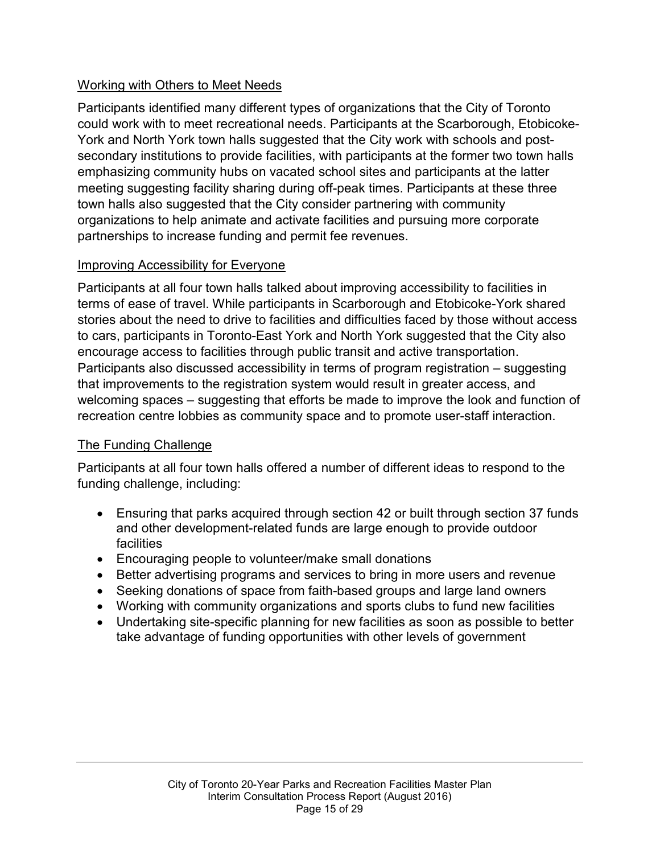#### Working with Others to Meet Needs

Participants identified many different types of organizations that the City of Toronto could work with to meet recreational needs. Participants at the Scarborough, Etobicoke-York and North York town halls suggested that the City work with schools and postsecondary institutions to provide facilities, with participants at the former two town halls emphasizing community hubs on vacated school sites and participants at the latter meeting suggesting facility sharing during off-peak times. Participants at these three town halls also suggested that the City consider partnering with community organizations to help animate and activate facilities and pursuing more corporate partnerships to increase funding and permit fee revenues.

#### Improving Accessibility for Everyone

Participants at all four town halls talked about improving accessibility to facilities in terms of ease of travel. While participants in Scarborough and Etobicoke-York shared stories about the need to drive to facilities and difficulties faced by those without access to cars, participants in Toronto-East York and North York suggested that the City also encourage access to facilities through public transit and active transportation. Participants also discussed accessibility in terms of program registration – suggesting that improvements to the registration system would result in greater access, and welcoming spaces – suggesting that efforts be made to improve the look and function of recreation centre lobbies as community space and to promote user-staff interaction.

#### The Funding Challenge

Participants at all four town halls offered a number of different ideas to respond to the funding challenge, including:

- Ensuring that parks acquired through section 42 or built through section 37 funds and other development-related funds are large enough to provide outdoor facilities
- Encouraging people to volunteer/make small donations
- Better advertising programs and services to bring in more users and revenue
- Seeking donations of space from faith-based groups and large land owners
- Working with community organizations and sports clubs to fund new facilities
- Undertaking site-specific planning for new facilities as soon as possible to better take advantage of funding opportunities with other levels of government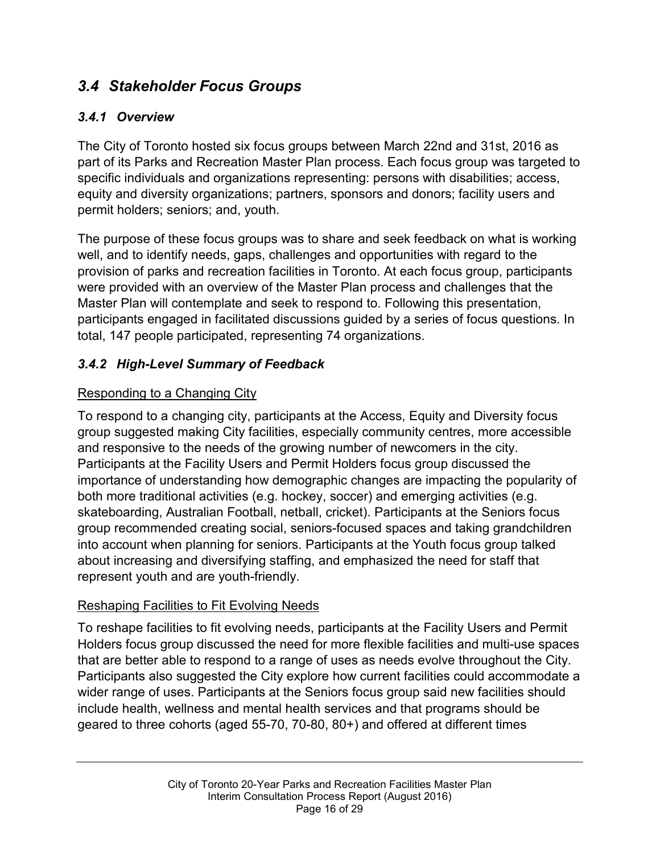## *3.4 Stakeholder Focus Groups*

#### *3.4.1 Overview*

The City of Toronto hosted six focus groups between March 22nd and 31st, 2016 as part of its Parks and Recreation Master Plan process. Each focus group was targeted to specific individuals and organizations representing: persons with disabilities; access, equity and diversity organizations; partners, sponsors and donors; facility users and permit holders; seniors; and, youth.

The purpose of these focus groups was to share and seek feedback on what is working well, and to identify needs, gaps, challenges and opportunities with regard to the provision of parks and recreation facilities in Toronto. At each focus group, participants were provided with an overview of the Master Plan process and challenges that the Master Plan will contemplate and seek to respond to. Following this presentation, participants engaged in facilitated discussions guided by a series of focus questions. In total, 147 people participated, representing 74 organizations.

#### *3.4.2 High-Level Summary of Feedback*

#### Responding to a Changing City

To respond to a changing city, participants at the Access, Equity and Diversity focus group suggested making City facilities, especially community centres, more accessible and responsive to the needs of the growing number of newcomers in the city. Participants at the Facility Users and Permit Holders focus group discussed the importance of understanding how demographic changes are impacting the popularity of both more traditional activities (e.g. hockey, soccer) and emerging activities (e.g. skateboarding, Australian Football, netball, cricket). Participants at the Seniors focus group recommended creating social, seniors-focused spaces and taking grandchildren into account when planning for seniors. Participants at the Youth focus group talked about increasing and diversifying staffing, and emphasized the need for staff that represent youth and are youth-friendly.

#### Reshaping Facilities to Fit Evolving Needs

To reshape facilities to fit evolving needs, participants at the Facility Users and Permit Holders focus group discussed the need for more flexible facilities and multi-use spaces that are better able to respond to a range of uses as needs evolve throughout the City. Participants also suggested the City explore how current facilities could accommodate a wider range of uses. Participants at the Seniors focus group said new facilities should include health, wellness and mental health services and that programs should be geared to three cohorts (aged 55-70, 70-80, 80+) and offered at different times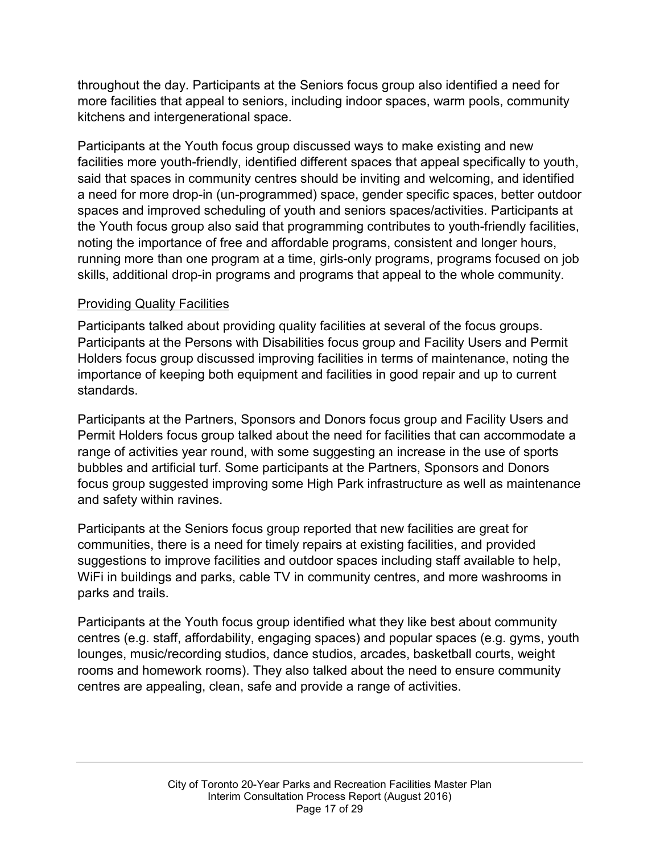throughout the day. Participants at the Seniors focus group also identified a need for more facilities that appeal to seniors, including indoor spaces, warm pools, community kitchens and intergenerational space.

Participants at the Youth focus group discussed ways to make existing and new facilities more youth-friendly, identified different spaces that appeal specifically to youth, said that spaces in community centres should be inviting and welcoming, and identified a need for more drop-in (un-programmed) space, gender specific spaces, better outdoor spaces and improved scheduling of youth and seniors spaces/activities. Participants at the Youth focus group also said that programming contributes to youth-friendly facilities, noting the importance of free and affordable programs, consistent and longer hours, running more than one program at a time, girls-only programs, programs focused on job skills, additional drop-in programs and programs that appeal to the whole community.

#### Providing Quality Facilities

Participants talked about providing quality facilities at several of the focus groups. Participants at the Persons with Disabilities focus group and Facility Users and Permit Holders focus group discussed improving facilities in terms of maintenance, noting the importance of keeping both equipment and facilities in good repair and up to current standards.

Participants at the Partners, Sponsors and Donors focus group and Facility Users and Permit Holders focus group talked about the need for facilities that can accommodate a range of activities year round, with some suggesting an increase in the use of sports bubbles and artificial turf. Some participants at the Partners, Sponsors and Donors focus group suggested improving some High Park infrastructure as well as maintenance and safety within ravines.

Participants at the Seniors focus group reported that new facilities are great for communities, there is a need for timely repairs at existing facilities, and provided suggestions to improve facilities and outdoor spaces including staff available to help, WiFi in buildings and parks, cable TV in community centres, and more washrooms in parks and trails.

Participants at the Youth focus group identified what they like best about community centres (e.g. staff, affordability, engaging spaces) and popular spaces (e.g. gyms, youth lounges, music/recording studios, dance studios, arcades, basketball courts, weight rooms and homework rooms). They also talked about the need to ensure community centres are appealing, clean, safe and provide a range of activities.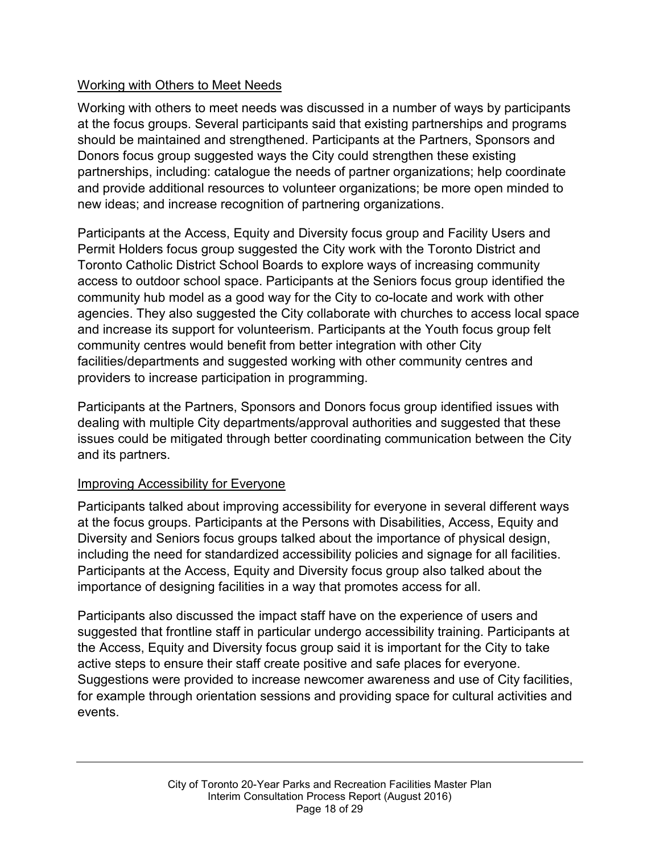#### Working with Others to Meet Needs

Working with others to meet needs was discussed in a number of ways by participants at the focus groups. Several participants said that existing partnerships and programs should be maintained and strengthened. Participants at the Partners, Sponsors and Donors focus group suggested ways the City could strengthen these existing partnerships, including: catalogue the needs of partner organizations; help coordinate and provide additional resources to volunteer organizations; be more open minded to new ideas; and increase recognition of partnering organizations.

Participants at the Access, Equity and Diversity focus group and Facility Users and Permit Holders focus group suggested the City work with the Toronto District and Toronto Catholic District School Boards to explore ways of increasing community access to outdoor school space. Participants at the Seniors focus group identified the community hub model as a good way for the City to co-locate and work with other agencies. They also suggested the City collaborate with churches to access local space and increase its support for volunteerism. Participants at the Youth focus group felt community centres would benefit from better integration with other City facilities/departments and suggested working with other community centres and providers to increase participation in programming.

Participants at the Partners, Sponsors and Donors focus group identified issues with dealing with multiple City departments/approval authorities and suggested that these issues could be mitigated through better coordinating communication between the City and its partners.

#### Improving Accessibility for Everyone

Participants talked about improving accessibility for everyone in several different ways at the focus groups. Participants at the Persons with Disabilities, Access, Equity and Diversity and Seniors focus groups talked about the importance of physical design, including the need for standardized accessibility policies and signage for all facilities. Participants at the Access, Equity and Diversity focus group also talked about the importance of designing facilities in a way that promotes access for all.

Participants also discussed the impact staff have on the experience of users and suggested that frontline staff in particular undergo accessibility training. Participants at the Access, Equity and Diversity focus group said it is important for the City to take active steps to ensure their staff create positive and safe places for everyone. Suggestions were provided to increase newcomer awareness and use of City facilities, for example through orientation sessions and providing space for cultural activities and events.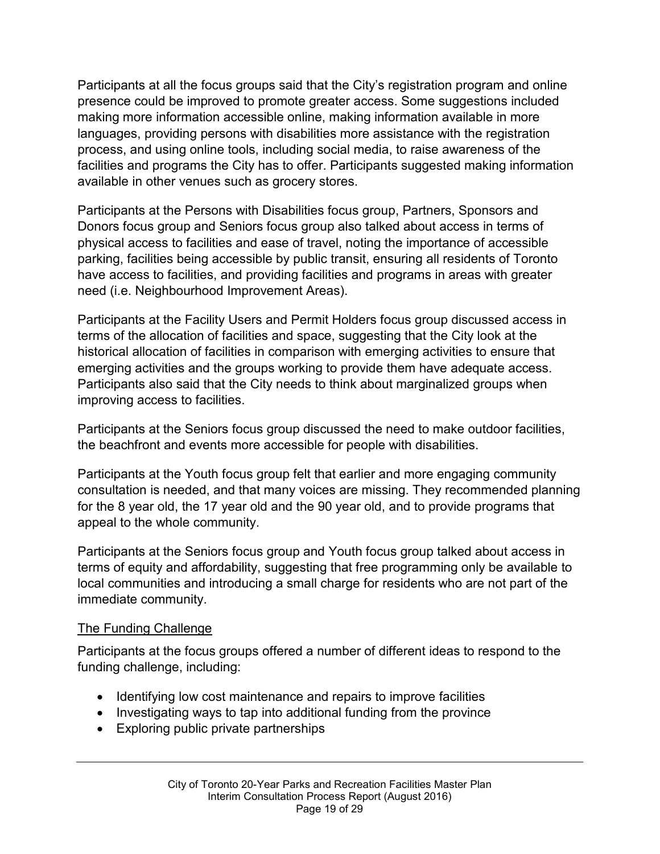Participants at all the focus groups said that the City's registration program and online presence could be improved to promote greater access. Some suggestions included making more information accessible online, making information available in more languages, providing persons with disabilities more assistance with the registration process, and using online tools, including social media, to raise awareness of the facilities and programs the City has to offer. Participants suggested making information available in other venues such as grocery stores.

Participants at the Persons with Disabilities focus group, Partners, Sponsors and Donors focus group and Seniors focus group also talked about access in terms of physical access to facilities and ease of travel, noting the importance of accessible parking, facilities being accessible by public transit, ensuring all residents of Toronto have access to facilities, and providing facilities and programs in areas with greater need (i.e. Neighbourhood Improvement Areas).

Participants at the Facility Users and Permit Holders focus group discussed access in terms of the allocation of facilities and space, suggesting that the City look at the historical allocation of facilities in comparison with emerging activities to ensure that emerging activities and the groups working to provide them have adequate access. Participants also said that the City needs to think about marginalized groups when improving access to facilities.

Participants at the Seniors focus group discussed the need to make outdoor facilities, the beachfront and events more accessible for people with disabilities.

Participants at the Youth focus group felt that earlier and more engaging community consultation is needed, and that many voices are missing. They recommended planning for the 8 year old, the 17 year old and the 90 year old, and to provide programs that appeal to the whole community.

Participants at the Seniors focus group and Youth focus group talked about access in terms of equity and affordability, suggesting that free programming only be available to local communities and introducing a small charge for residents who are not part of the immediate community.

#### The Funding Challenge

Participants at the focus groups offered a number of different ideas to respond to the funding challenge, including:

- Identifying low cost maintenance and repairs to improve facilities
- Investigating ways to tap into additional funding from the province
- Exploring public private partnerships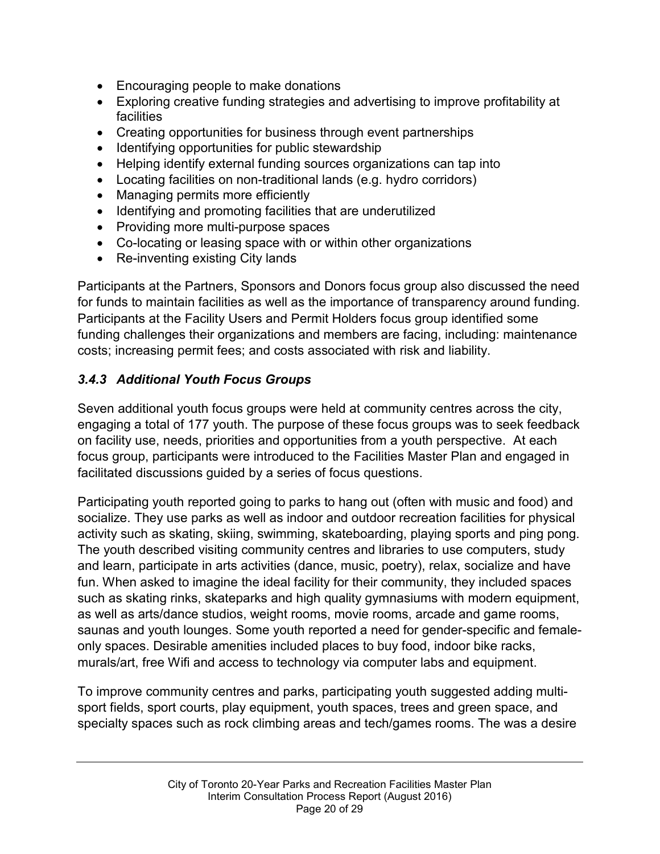- Encouraging people to make donations
- Exploring creative funding strategies and advertising to improve profitability at facilities
- Creating opportunities for business through event partnerships
- Identifying opportunities for public stewardship
- Helping identify external funding sources organizations can tap into
- Locating facilities on non-traditional lands (e.g. hydro corridors)
- Managing permits more efficiently
- Identifying and promoting facilities that are underutilized
- Providing more multi-purpose spaces
- Co-locating or leasing space with or within other organizations
- Re-inventing existing City lands

Participants at the Partners, Sponsors and Donors focus group also discussed the need for funds to maintain facilities as well as the importance of transparency around funding. Participants at the Facility Users and Permit Holders focus group identified some funding challenges their organizations and members are facing, including: maintenance costs; increasing permit fees; and costs associated with risk and liability.

#### *3.4.3 Additional Youth Focus Groups*

Seven additional youth focus groups were held at community centres across the city, engaging a total of 177 youth. The purpose of these focus groups was to seek feedback on facility use, needs, priorities and opportunities from a youth perspective. At each focus group, participants were introduced to the Facilities Master Plan and engaged in facilitated discussions guided by a series of focus questions.

Participating youth reported going to parks to hang out (often with music and food) and socialize. They use parks as well as indoor and outdoor recreation facilities for physical activity such as skating, skiing, swimming, skateboarding, playing sports and ping pong. The youth described visiting community centres and libraries to use computers, study and learn, participate in arts activities (dance, music, poetry), relax, socialize and have fun. When asked to imagine the ideal facility for their community, they included spaces such as skating rinks, skateparks and high quality gymnasiums with modern equipment, as well as arts/dance studios, weight rooms, movie rooms, arcade and game rooms, saunas and youth lounges. Some youth reported a need for gender-specific and femaleonly spaces. Desirable amenities included places to buy food, indoor bike racks, murals/art, free Wifi and access to technology via computer labs and equipment.

To improve community centres and parks, participating youth suggested adding multisport fields, sport courts, play equipment, youth spaces, trees and green space, and specialty spaces such as rock climbing areas and tech/games rooms. The was a desire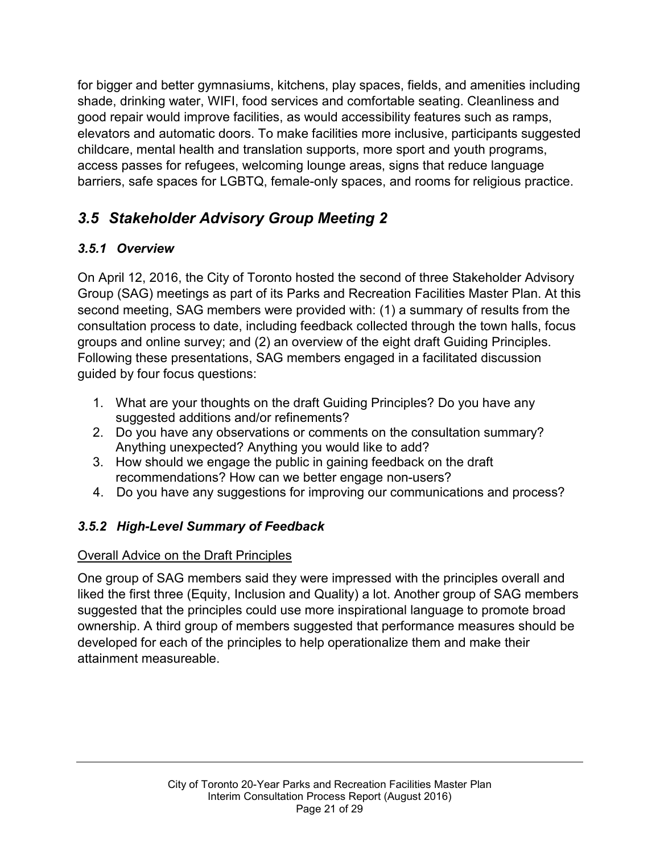for bigger and better gymnasiums, kitchens, play spaces, fields, and amenities including shade, drinking water, WIFI, food services and comfortable seating. Cleanliness and good repair would improve facilities, as would accessibility features such as ramps, elevators and automatic doors. To make facilities more inclusive, participants suggested childcare, mental health and translation supports, more sport and youth programs, access passes for refugees, welcoming lounge areas, signs that reduce language barriers, safe spaces for LGBTQ, female-only spaces, and rooms for religious practice.

# *3.5 Stakeholder Advisory Group Meeting 2*

## *3.5.1 Overview*

On April 12, 2016, the City of Toronto hosted the second of three Stakeholder Advisory Group (SAG) meetings as part of its Parks and Recreation Facilities Master Plan. At this second meeting, SAG members were provided with: (1) a summary of results from the consultation process to date, including feedback collected through the town halls, focus groups and online survey; and (2) an overview of the eight draft Guiding Principles. Following these presentations, SAG members engaged in a facilitated discussion guided by four focus questions:

- 1. What are your thoughts on the draft Guiding Principles? Do you have any suggested additions and/or refinements?
- 2. Do you have any observations or comments on the consultation summary? Anything unexpected? Anything you would like to add?
- 3. How should we engage the public in gaining feedback on the draft recommendations? How can we better engage non-users?
- 4. Do you have any suggestions for improving our communications and process?

#### *3.5.2 High-Level Summary of Feedback*

#### Overall Advice on the Draft Principles

One group of SAG members said they were impressed with the principles overall and liked the first three (Equity, Inclusion and Quality) a lot. Another group of SAG members suggested that the principles could use more inspirational language to promote broad ownership. A third group of members suggested that performance measures should be developed for each of the principles to help operationalize them and make their attainment measureable.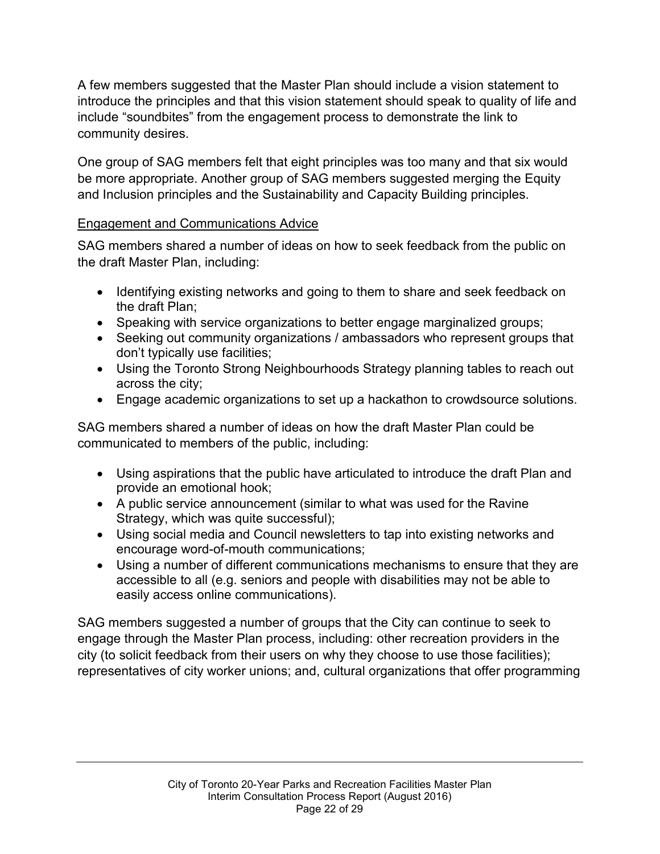A few members suggested that the Master Plan should include a vision statement to introduce the principles and that this vision statement should speak to quality of life and include "soundbites" from the engagement process to demonstrate the link to community desires.

One group of SAG members felt that eight principles was too many and that six would be more appropriate. Another group of SAG members suggested merging the Equity and Inclusion principles and the Sustainability and Capacity Building principles.

#### Engagement and Communications Advice

SAG members shared a number of ideas on how to seek feedback from the public on the draft Master Plan, including:

- Identifying existing networks and going to them to share and seek feedback on the draft Plan;
- Speaking with service organizations to better engage marginalized groups;
- Seeking out community organizations / ambassadors who represent groups that don't typically use facilities;
- Using the Toronto Strong Neighbourhoods Strategy planning tables to reach out across the city;
- Engage academic organizations to set up a hackathon to crowdsource solutions.

SAG members shared a number of ideas on how the draft Master Plan could be communicated to members of the public, including:

- Using aspirations that the public have articulated to introduce the draft Plan and provide an emotional hook;
- A public service announcement (similar to what was used for the Ravine Strategy, which was quite successful);
- Using social media and Council newsletters to tap into existing networks and encourage word-of-mouth communications;
- Using a number of different communications mechanisms to ensure that they are accessible to all (e.g. seniors and people with disabilities may not be able to easily access online communications).

SAG members suggested a number of groups that the City can continue to seek to engage through the Master Plan process, including: other recreation providers in the city (to solicit feedback from their users on why they choose to use those facilities); representatives of city worker unions; and, cultural organizations that offer programming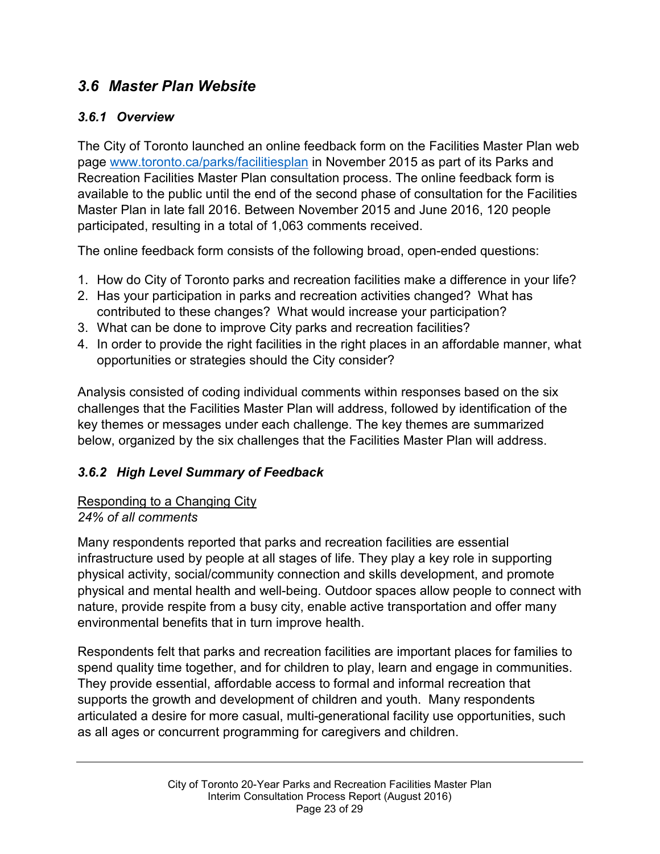#### *3.6 Master Plan Website*

#### *3.6.1 Overview*

The City of Toronto launched an online feedback form on the Facilities Master Plan web page [www.toronto.ca/parks/facilitiesplan](http://www.toronto.ca/parks/facilitiesplan) in November 2015 as part of its Parks and Recreation Facilities Master Plan consultation process. The online feedback form is available to the public until the end of the second phase of consultation for the Facilities Master Plan in late fall 2016. Between November 2015 and June 2016, 120 people participated, resulting in a total of 1,063 comments received.

The online feedback form consists of the following broad, open-ended questions:

- 1. How do City of Toronto parks and recreation facilities make a difference in your life?
- 2. Has your participation in parks and recreation activities changed? What has contributed to these changes? What would increase your participation?
- 3. What can be done to improve City parks and recreation facilities?
- 4. In order to provide the right facilities in the right places in an affordable manner, what opportunities or strategies should the City consider?

Analysis consisted of coding individual comments within responses based on the six challenges that the Facilities Master Plan will address, followed by identification of the key themes or messages under each challenge. The key themes are summarized below, organized by the six challenges that the Facilities Master Plan will address.

#### *3.6.2 High Level Summary of Feedback*

#### Responding to a Changing City *24% of all comments*

Many respondents reported that parks and recreation facilities are essential infrastructure used by people at all stages of life. They play a key role in supporting physical activity, social/community connection and skills development, and promote physical and mental health and well-being. Outdoor spaces allow people to connect with nature, provide respite from a busy city, enable active transportation and offer many environmental benefits that in turn improve health.

Respondents felt that parks and recreation facilities are important places for families to spend quality time together, and for children to play, learn and engage in communities. They provide essential, affordable access to formal and informal recreation that supports the growth and development of children and youth. Many respondents articulated a desire for more casual, multi-generational facility use opportunities, such as all ages or concurrent programming for caregivers and children.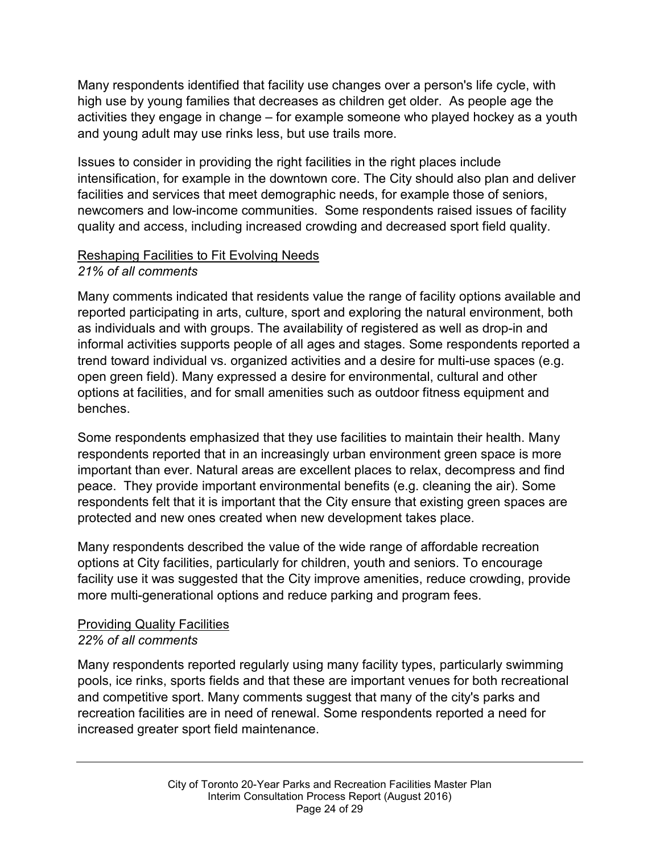Many respondents identified that facility use changes over a person's life cycle, with high use by young families that decreases as children get older. As people age the activities they engage in change – for example someone who played hockey as a youth and young adult may use rinks less, but use trails more.

Issues to consider in providing the right facilities in the right places include intensification, for example in the downtown core. The City should also plan and deliver facilities and services that meet demographic needs, for example those of seniors, newcomers and low-income communities. Some respondents raised issues of facility quality and access, including increased crowding and decreased sport field quality.

#### Reshaping Facilities to Fit Evolving Needs *21% of all comments*

Many comments indicated that residents value the range of facility options available and reported participating in arts, culture, sport and exploring the natural environment, both as individuals and with groups. The availability of registered as well as drop-in and informal activities supports people of all ages and stages. Some respondents reported a trend toward individual vs. organized activities and a desire for multi-use spaces (e.g. open green field). Many expressed a desire for environmental, cultural and other options at facilities, and for small amenities such as outdoor fitness equipment and benches.

Some respondents emphasized that they use facilities to maintain their health. Many respondents reported that in an increasingly urban environment green space is more important than ever. Natural areas are excellent places to relax, decompress and find peace. They provide important environmental benefits (e.g. cleaning the air). Some respondents felt that it is important that the City ensure that existing green spaces are protected and new ones created when new development takes place.

Many respondents described the value of the wide range of affordable recreation options at City facilities, particularly for children, youth and seniors. To encourage facility use it was suggested that the City improve amenities, reduce crowding, provide more multi-generational options and reduce parking and program fees.

#### Providing Quality Facilities *22% of all comments*

Many respondents reported regularly using many facility types, particularly swimming pools, ice rinks, sports fields and that these are important venues for both recreational and competitive sport. Many comments suggest that many of the city's parks and recreation facilities are in need of renewal. Some respondents reported a need for increased greater sport field maintenance.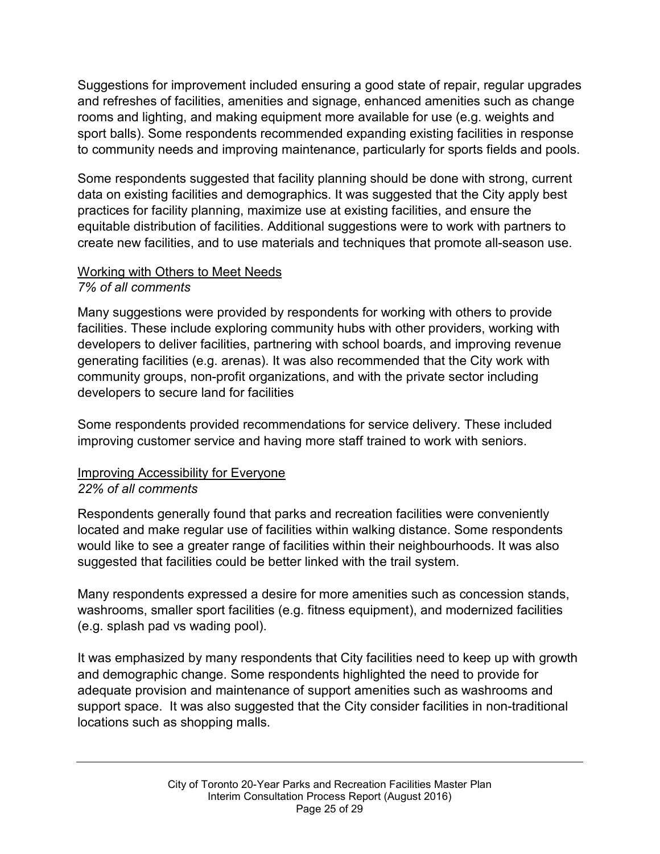Suggestions for improvement included ensuring a good state of repair, regular upgrades and refreshes of facilities, amenities and signage, enhanced amenities such as change rooms and lighting, and making equipment more available for use (e.g. weights and sport balls). Some respondents recommended expanding existing facilities in response to community needs and improving maintenance, particularly for sports fields and pools.

Some respondents suggested that facility planning should be done with strong, current data on existing facilities and demographics. It was suggested that the City apply best practices for facility planning, maximize use at existing facilities, and ensure the equitable distribution of facilities. Additional suggestions were to work with partners to create new facilities, and to use materials and techniques that promote all-season use.

#### Working with Others to Meet Needs

#### *7% of all comments*

Many suggestions were provided by respondents for working with others to provide facilities. These include exploring community hubs with other providers, working with developers to deliver facilities, partnering with school boards, and improving revenue generating facilities (e.g. arenas). It was also recommended that the City work with community groups, non-profit organizations, and with the private sector including developers to secure land for facilities

Some respondents provided recommendations for service delivery. These included improving customer service and having more staff trained to work with seniors.

#### Improving Accessibility for Everyone *22% of all comments*

Respondents generally found that parks and recreation facilities were conveniently located and make regular use of facilities within walking distance. Some respondents would like to see a greater range of facilities within their neighbourhoods. It was also suggested that facilities could be better linked with the trail system.

Many respondents expressed a desire for more amenities such as concession stands, washrooms, smaller sport facilities (e.g. fitness equipment), and modernized facilities (e.g. splash pad vs wading pool).

It was emphasized by many respondents that City facilities need to keep up with growth and demographic change. Some respondents highlighted the need to provide for adequate provision and maintenance of support amenities such as washrooms and support space. It was also suggested that the City consider facilities in non-traditional locations such as shopping malls.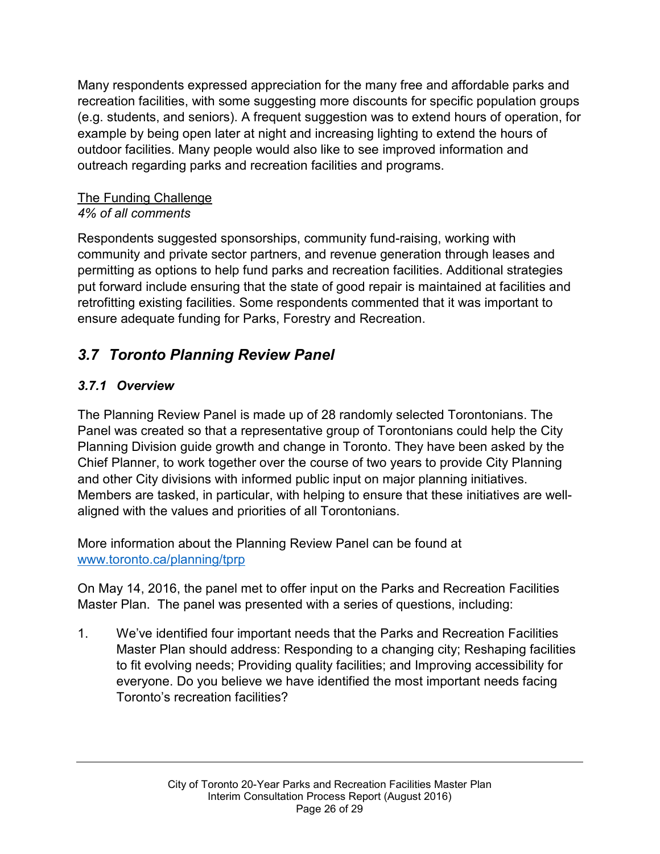Many respondents expressed appreciation for the many free and affordable parks and recreation facilities, with some suggesting more discounts for specific population groups (e.g. students, and seniors). A frequent suggestion was to extend hours of operation, for example by being open later at night and increasing lighting to extend the hours of outdoor facilities. Many people would also like to see improved information and outreach regarding parks and recreation facilities and programs.

#### The Funding Challenge *4% of all comments*

Respondents suggested sponsorships, community fund-raising, working with community and private sector partners, and revenue generation through leases and permitting as options to help fund parks and recreation facilities. Additional strategies put forward include ensuring that the state of good repair is maintained at facilities and retrofitting existing facilities. Some respondents commented that it was important to ensure adequate funding for Parks, Forestry and Recreation.

# *3.7 Toronto Planning Review Panel*

#### *3.7.1 Overview*

The Planning Review Panel is made up of 28 randomly selected Torontonians. The Panel was created so that a representative group of Torontonians could help the City Planning Division guide growth and change in Toronto. They have been asked by the Chief Planner, to work together over the course of two years to provide City Planning and other City divisions with informed public input on major planning initiatives. Members are tasked, in particular, with helping to ensure that these initiatives are wellaligned with the values and priorities of all Torontonians.

More information about the Planning Review Panel can be found at [www.toronto.ca/planning/tprp](http://www.toronto.ca/planning/tprp)

On May 14, 2016, the panel met to offer input on the Parks and Recreation Facilities Master Plan. The panel was presented with a series of questions, including:

1. We've identified four important needs that the Parks and Recreation Facilities Master Plan should address: Responding to a changing city; Reshaping facilities to fit evolving needs; Providing quality facilities; and Improving accessibility for everyone. Do you believe we have identified the most important needs facing Toronto's recreation facilities?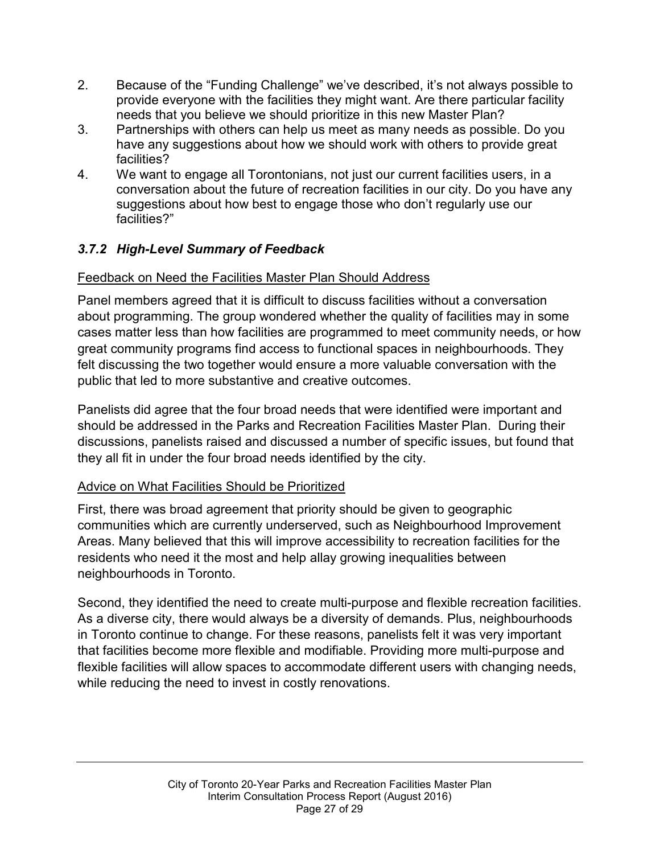- 2. Because of the "Funding Challenge" we've described, it's not always possible to provide everyone with the facilities they might want. Are there particular facility needs that you believe we should prioritize in this new Master Plan?
- 3. Partnerships with others can help us meet as many needs as possible. Do you have any suggestions about how we should work with others to provide great facilities?
- 4. We want to engage all Torontonians, not just our current facilities users, in a conversation about the future of recreation facilities in our city. Do you have any suggestions about how best to engage those who don't regularly use our facilities?"

#### *3.7.2 High-Level Summary of Feedback*

#### Feedback on Need the Facilities Master Plan Should Address

Panel members agreed that it is difficult to discuss facilities without a conversation about programming. The group wondered whether the quality of facilities may in some cases matter less than how facilities are programmed to meet community needs, or how great community programs find access to functional spaces in neighbourhoods. They felt discussing the two together would ensure a more valuable conversation with the public that led to more substantive and creative outcomes.

Panelists did agree that the four broad needs that were identified were important and should be addressed in the Parks and Recreation Facilities Master Plan. During their discussions, panelists raised and discussed a number of specific issues, but found that they all fit in under the four broad needs identified by the city.

#### Advice on What Facilities Should be Prioritized

First, there was broad agreement that priority should be given to geographic communities which are currently underserved, such as Neighbourhood Improvement Areas. Many believed that this will improve accessibility to recreation facilities for the residents who need it the most and help allay growing inequalities between neighbourhoods in Toronto.

Second, they identified the need to create multi-purpose and flexible recreation facilities. As a diverse city, there would always be a diversity of demands. Plus, neighbourhoods in Toronto continue to change. For these reasons, panelists felt it was very important that facilities become more flexible and modifiable. Providing more multi-purpose and flexible facilities will allow spaces to accommodate different users with changing needs, while reducing the need to invest in costly renovations.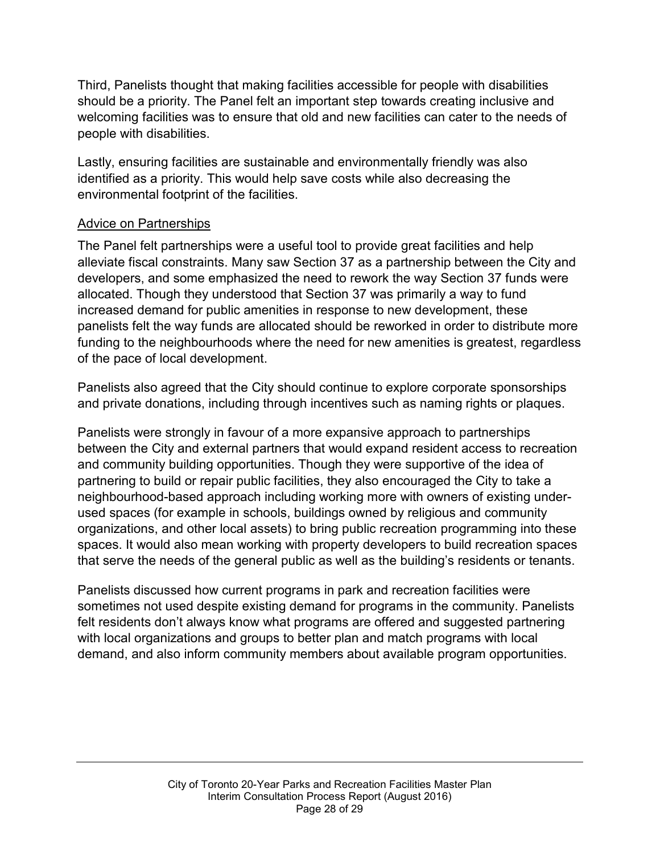Third, Panelists thought that making facilities accessible for people with disabilities should be a priority. The Panel felt an important step towards creating inclusive and welcoming facilities was to ensure that old and new facilities can cater to the needs of people with disabilities.

Lastly, ensuring facilities are sustainable and environmentally friendly was also identified as a priority. This would help save costs while also decreasing the environmental footprint of the facilities.

#### Advice on Partnerships

The Panel felt partnerships were a useful tool to provide great facilities and help alleviate fiscal constraints. Many saw Section 37 as a partnership between the City and developers, and some emphasized the need to rework the way Section 37 funds were allocated. Though they understood that Section 37 was primarily a way to fund increased demand for public amenities in response to new development, these panelists felt the way funds are allocated should be reworked in order to distribute more funding to the neighbourhoods where the need for new amenities is greatest, regardless of the pace of local development.

Panelists also agreed that the City should continue to explore corporate sponsorships and private donations, including through incentives such as naming rights or plaques.

Panelists were strongly in favour of a more expansive approach to partnerships between the City and external partners that would expand resident access to recreation and community building opportunities. Though they were supportive of the idea of partnering to build or repair public facilities, they also encouraged the City to take a neighbourhood-based approach including working more with owners of existing underused spaces (for example in schools, buildings owned by religious and community organizations, and other local assets) to bring public recreation programming into these spaces. It would also mean working with property developers to build recreation spaces that serve the needs of the general public as well as the building's residents or tenants.

Panelists discussed how current programs in park and recreation facilities were sometimes not used despite existing demand for programs in the community. Panelists felt residents don't always know what programs are offered and suggested partnering with local organizations and groups to better plan and match programs with local demand, and also inform community members about available program opportunities.